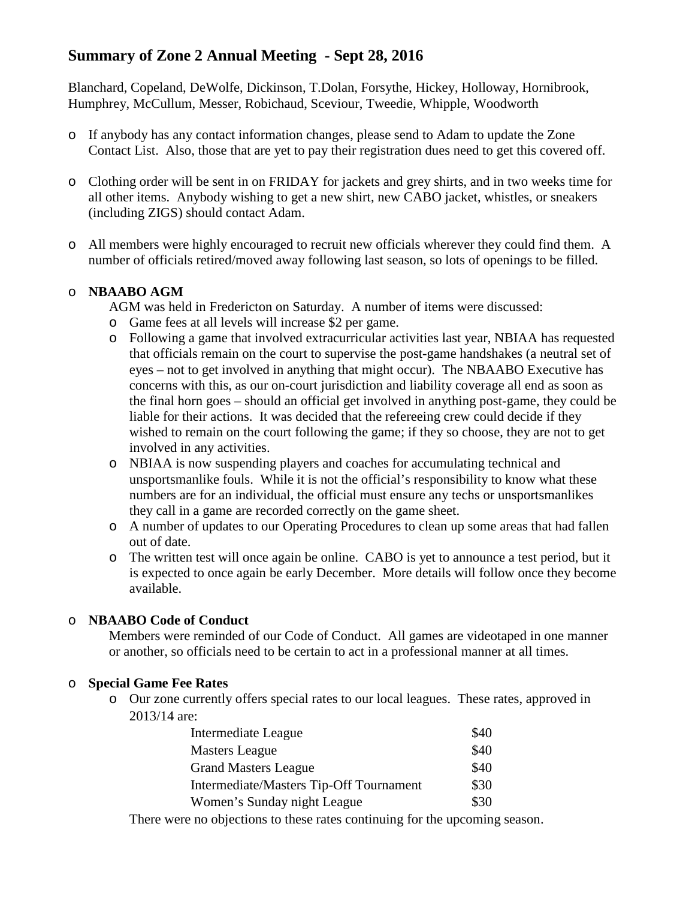# **Summary of Zone 2 Annual Meeting - Sept 28, 2016**

Blanchard, Copeland, DeWolfe, Dickinson, T.Dolan, Forsythe, Hickey, Holloway, Hornibrook, Humphrey, McCullum, Messer, Robichaud, Sceviour, Tweedie, Whipple, Woodworth

- o If anybody has any contact information changes, please send to Adam to update the Zone Contact List. Also, those that are yet to pay their registration dues need to get this covered off.
- o Clothing order will be sent in on FRIDAY for jackets and grey shirts, and in two weeks time for all other items. Anybody wishing to get a new shirt, new CABO jacket, whistles, or sneakers (including ZIGS) should contact Adam.
- o All members were highly encouraged to recruit new officials wherever they could find them. A number of officials retired/moved away following last season, so lots of openings to be filled.

# o **NBAABO AGM**

AGM was held in Fredericton on Saturday. A number of items were discussed:

- o Game fees at all levels will increase \$2 per game.
- o Following a game that involved extracurricular activities last year, NBIAA has requested that officials remain on the court to supervise the post-game handshakes (a neutral set of eyes – not to get involved in anything that might occur). The NBAABO Executive has concerns with this, as our on-court jurisdiction and liability coverage all end as soon as the final horn goes – should an official get involved in anything post-game, they could be liable for their actions. It was decided that the refereeing crew could decide if they wished to remain on the court following the game; if they so choose, they are not to get involved in any activities.
- o NBIAA is now suspending players and coaches for accumulating technical and unsportsmanlike fouls. While it is not the official's responsibility to know what these numbers are for an individual, the official must ensure any techs or unsportsmanlikes they call in a game are recorded correctly on the game sheet.
- o A number of updates to our Operating Procedures to clean up some areas that had fallen out of date.
- o The written test will once again be online. CABO is yet to announce a test period, but it is expected to once again be early December. More details will follow once they become available.

# o **NBAABO Code of Conduct**

Members were reminded of our Code of Conduct. All games are videotaped in one manner or another, so officials need to be certain to act in a professional manner at all times.

# o **Special Game Fee Rates**

o Our zone currently offers special rates to our local leagues. These rates, approved in 2013/14 are:

| Intermediate League                     | \$40 |
|-----------------------------------------|------|
| <b>Masters League</b>                   | \$40 |
| <b>Grand Masters League</b>             | \$40 |
| Intermediate/Masters Tip-Off Tournament | \$30 |
| Women's Sunday night League             | \$30 |

There were no objections to these rates continuing for the upcoming season.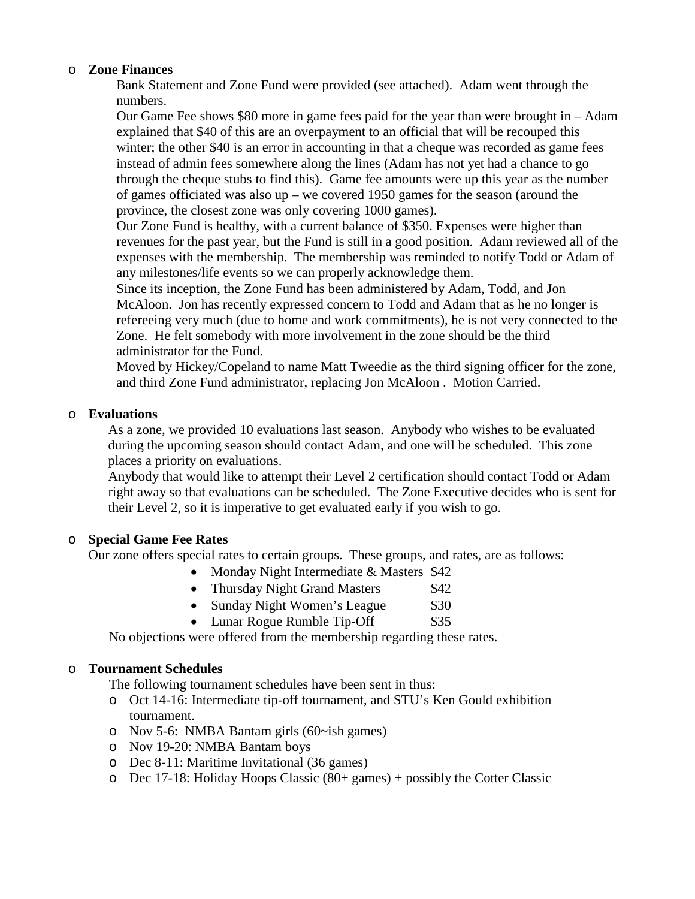#### o **Zone Finances**

Bank Statement and Zone Fund were provided (see attached). Adam went through the numbers.

Our Game Fee shows \$80 more in game fees paid for the year than were brought in – Adam explained that \$40 of this are an overpayment to an official that will be recouped this winter; the other \$40 is an error in accounting in that a cheque was recorded as game fees instead of admin fees somewhere along the lines (Adam has not yet had a chance to go through the cheque stubs to find this). Game fee amounts were up this year as the number of games officiated was also up – we covered 1950 games for the season (around the province, the closest zone was only covering 1000 games).

Our Zone Fund is healthy, with a current balance of \$350. Expenses were higher than revenues for the past year, but the Fund is still in a good position. Adam reviewed all of the expenses with the membership. The membership was reminded to notify Todd or Adam of any milestones/life events so we can properly acknowledge them.

Since its inception, the Zone Fund has been administered by Adam, Todd, and Jon McAloon. Jon has recently expressed concern to Todd and Adam that as he no longer is refereeing very much (due to home and work commitments), he is not very connected to the Zone. He felt somebody with more involvement in the zone should be the third administrator for the Fund.

Moved by Hickey/Copeland to name Matt Tweedie as the third signing officer for the zone, and third Zone Fund administrator, replacing Jon McAloon . Motion Carried.

## o **Evaluations**

As a zone, we provided 10 evaluations last season. Anybody who wishes to be evaluated during the upcoming season should contact Adam, and one will be scheduled. This zone places a priority on evaluations.

Anybody that would like to attempt their Level 2 certification should contact Todd or Adam right away so that evaluations can be scheduled. The Zone Executive decides who is sent for their Level 2, so it is imperative to get evaluated early if you wish to go.

# o **Special Game Fee Rates**

Our zone offers special rates to certain groups. These groups, and rates, are as follows:

- Monday Night Intermediate & Masters \$42
- Thursday Night Grand Masters \$42
- Sunday Night Women's League \$30
- Lunar Rogue Rumble Tip-Off  $$35$

No objections were offered from the membership regarding these rates.

#### o **Tournament Schedules**

The following tournament schedules have been sent in thus:

- o Oct 14-16: Intermediate tip-off tournament, and STU's Ken Gould exhibition tournament.
- o Nov 5-6: NMBA Bantam girls (60~ish games)
- o Nov 19-20: NMBA Bantam boys
- o Dec 8-11: Maritime Invitational (36 games)
- o Dec 17-18: Holiday Hoops Classic (80+ games) + possibly the Cotter Classic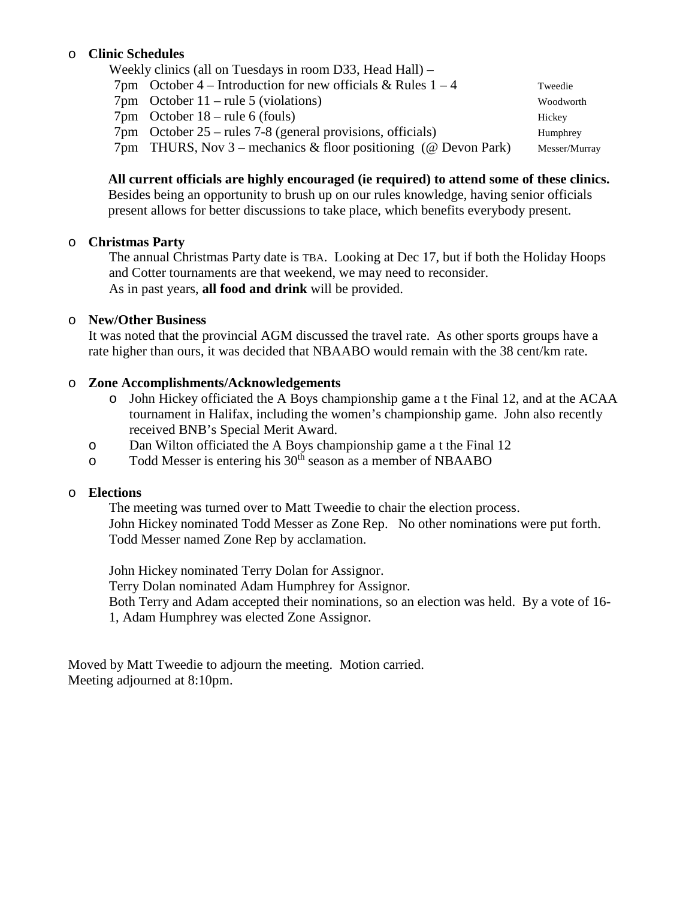## o **Clinic Schedules**

| Weekly clinics (all on Tuesdays in room D33, Head Hall) –            |               |
|----------------------------------------------------------------------|---------------|
| 7pm October 4 – Introduction for new officials & Rules $1 - 4$       | Tweedie       |
| $7 \text{pm}$ October 11 – rule 5 (violations)                       | Woodworth     |
| $7 \text{pm}$ October 18 – rule 6 (fouls)                            | Hickey        |
| $7 \text{pm}$ October 25 – rules 7-8 (general provisions, officials) | Humphrey      |
| 7pm THURS, Nov 3 – mechanics & floor positioning (@ Devon Park)      | Messer/Murray |

#### **All current officials are highly encouraged (ie required) to attend some of these clinics.**

Besides being an opportunity to brush up on our rules knowledge, having senior officials present allows for better discussions to take place, which benefits everybody present.

#### o **Christmas Party**

The annual Christmas Party date is TBA. Looking at Dec 17, but if both the Holiday Hoops and Cotter tournaments are that weekend, we may need to reconsider. As in past years, **all food and drink** will be provided.

#### o **New/Other Business**

It was noted that the provincial AGM discussed the travel rate. As other sports groups have a rate higher than ours, it was decided that NBAABO would remain with the 38 cent/km rate.

#### o **Zone Accomplishments/Acknowledgements**

- o John Hickey officiated the A Boys championship game a t the Final 12, and at the ACAA tournament in Halifax, including the women's championship game. John also recently received BNB's Special Merit Award.
- o Dan Wilton officiated the A Boys championship game a t the Final 12
- o Todd Messer is entering his 30<sup>th</sup> season as a member of NBAABO

#### o **Elections**

The meeting was turned over to Matt Tweedie to chair the election process. John Hickey nominated Todd Messer as Zone Rep. No other nominations were put forth. Todd Messer named Zone Rep by acclamation.

John Hickey nominated Terry Dolan for Assignor. Terry Dolan nominated Adam Humphrey for Assignor. Both Terry and Adam accepted their nominations, so an election was held. By a vote of 16- 1, Adam Humphrey was elected Zone Assignor.

Moved by Matt Tweedie to adjourn the meeting. Motion carried. Meeting adjourned at 8:10pm.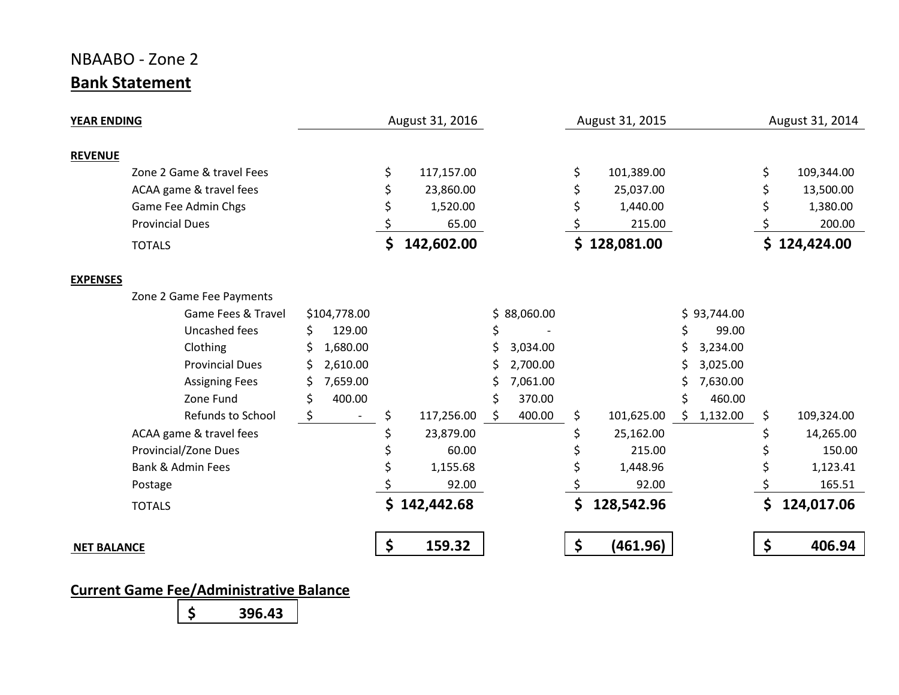# NBAABO - Zone 2 **Bank Statement**

| <b>YEAR ENDING</b>                      |    | August 31, 2016 |             | August 31, 2015  |                 | August 31, 2014 |              |  |
|-----------------------------------------|----|-----------------|-------------|------------------|-----------------|-----------------|--------------|--|
| <b>REVENUE</b>                          |    |                 |             |                  |                 |                 |              |  |
| Zone 2 Game & travel Fees               | \$ | 117,157.00      |             | \$<br>101,389.00 |                 | \$              | 109,344.00   |  |
| ACAA game & travel fees                 |    | 23,860.00       |             | 25,037.00        |                 |                 | 13,500.00    |  |
| Game Fee Admin Chgs                     |    | 1,520.00        |             | 1,440.00         |                 |                 | 1,380.00     |  |
| <b>Provincial Dues</b>                  |    | 65.00           |             | 215.00           |                 |                 | 200.00       |  |
| <b>TOTALS</b>                           | \$ | 142,602.00      |             | \$128,081.00     |                 |                 | \$124,424.00 |  |
| <b>EXPENSES</b>                         |    |                 |             |                  |                 |                 |              |  |
| Zone 2 Game Fee Payments                |    |                 |             |                  |                 |                 |              |  |
| Game Fees & Travel<br>\$104,778.00      |    |                 | \$88,060.00 |                  | \$93,744.00     |                 |              |  |
| 129.00<br>Uncashed fees<br>\$           |    |                 |             |                  | 99.00           |                 |              |  |
| Clothing<br>1,680.00                    |    |                 | 3,034.00    |                  | 3,234.00        |                 |              |  |
| <b>Provincial Dues</b><br>2,610.00<br>S |    |                 | 2,700.00    |                  | 3,025.00        |                 |              |  |
| 7,659.00<br><b>Assigning Fees</b>       |    |                 | 7,061.00    |                  | 7,630.00        |                 |              |  |
| Zone Fund<br>400.00<br>\$               |    |                 | 370.00<br>Ś |                  | 460.00          |                 |              |  |
| Refunds to School                       |    | 117,256.00      | 400.00<br>S | \$<br>101,625.00 | 1,132.00<br>\$. | \$              | 109,324.00   |  |
| ACAA game & travel fees                 |    | 23,879.00       |             | 25,162.00        |                 |                 | 14,265.00    |  |
| Provincial/Zone Dues                    |    | 60.00           |             | 215.00           |                 |                 | 150.00       |  |
| <b>Bank &amp; Admin Fees</b>            |    | 1,155.68        |             | 1,448.96         |                 |                 | 1,123.41     |  |
| Postage                                 |    | 92.00           |             | 92.00            |                 |                 | 165.51       |  |
| <b>TOTALS</b>                           |    | \$142,442.68    |             | \$<br>128,542.96 |                 | \$              | 124,017.06   |  |
| <b>NET BALANCE</b>                      | \$ | 159.32          |             | \$<br>(461.96)   |                 | \$              | 406.94       |  |

**Current Game Fee/Administrative Balance**

**\$ 396.43**